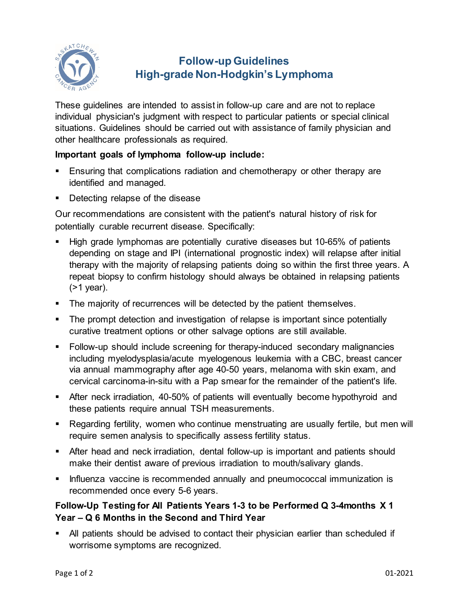

# **Follow-up Guidelines High-grade Non-Hodgkin's Lymphoma**

These guidelines are intended to assist in follow-up care and are not to replace individual physician's judgment with respect to particular patients or special clinical situations. Guidelines should be carried out with assistance of family physician and other healthcare professionals as required.

### **Important goals of lymphoma follow-up include:**

- Ensuring that complications radiation and chemotherapy or other therapy are identified and managed.
- **Detecting relapse of the disease**

Our recommendations are consistent with the patient's natural history of risk for potentially curable recurrent disease. Specifically:

- High grade lymphomas are potentially curative diseases but 10-65% of patients depending on stage and IPI (international prognostic index) will relapse after initial therapy with the majority of relapsing patients doing so within the first three years. A repeat biopsy to confirm histology should always be obtained in relapsing patients (>1 year).
- The majority of recurrences will be detected by the patient themselves.
- The prompt detection and investigation of relapse is important since potentially curative treatment options or other salvage options are still available.
- Follow-up should include screening for therapy-induced secondary malignancies including myelodysplasia/acute myelogenous leukemia with a CBC, breast cancer via annual mammography after age 40-50 years, melanoma with skin exam, and cervical carcinoma-in-situ with a Pap smear for the remainder of the patient's life.
- After neck irradiation, 40-50% of patients will eventually become hypothyroid and these patients require annual TSH measurements.
- Regarding fertility, women who continue menstruating are usually fertile, but men will require semen analysis to specifically assess fertility status.
- After head and neck irradiation, dental follow-up is important and patients should make their dentist aware of previous irradiation to mouth/salivary glands.
- **Influenza vaccine is recommended annually and pneumococcal immunization is** recommended once every 5-6 years.

## **Follow-Up Testing for All Patients Years 1-3 to be Performed Q 3-4months X 1 Year – Q 6 Months in the Second and Third Year**

 All patients should be advised to contact their physician earlier than scheduled if worrisome symptoms are recognized.